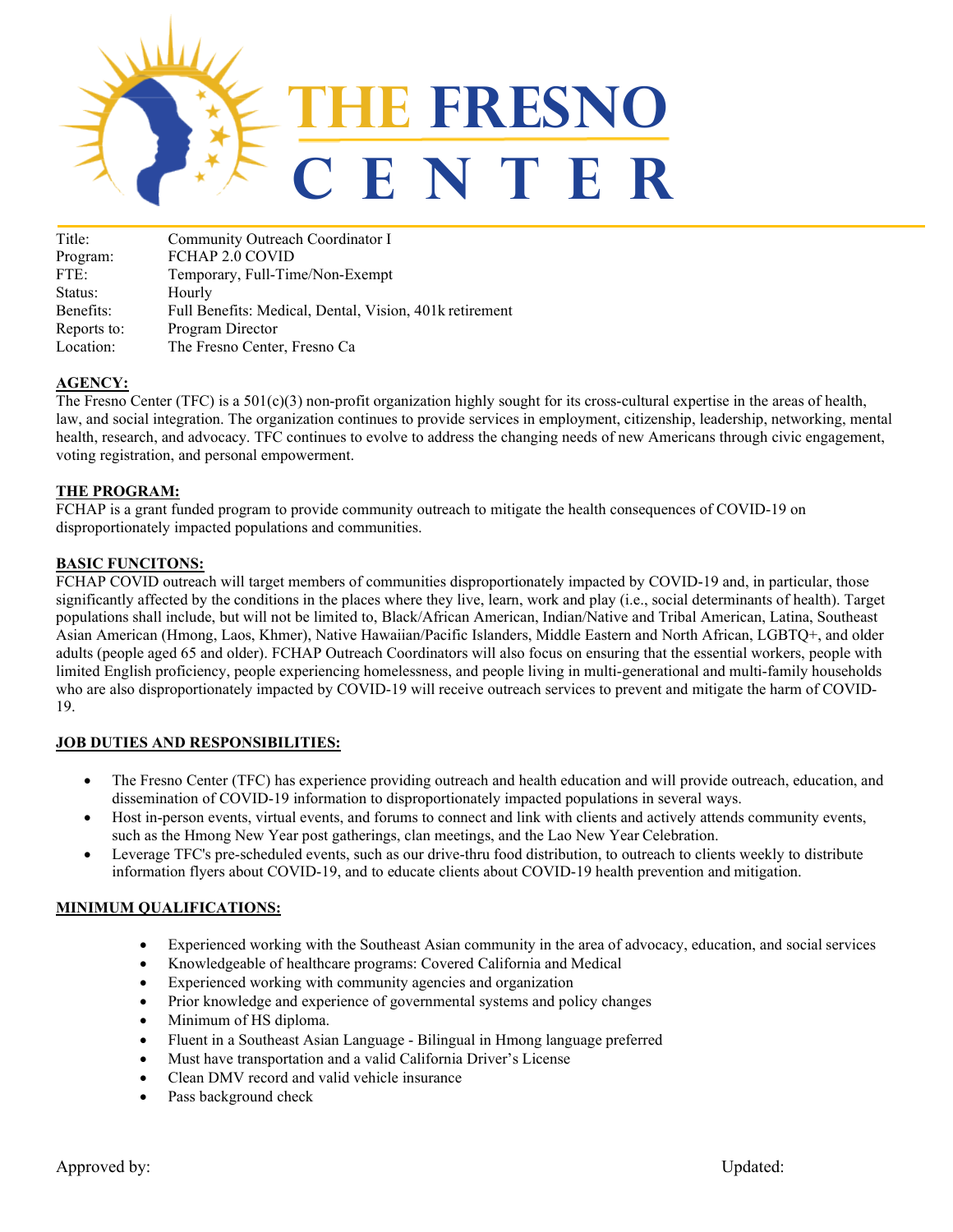

| Title:      | Community Outreach Coordinator I                        |
|-------------|---------------------------------------------------------|
| Program:    | FCHAP 2.0 COVID                                         |
| FTE:        | Temporary, Full-Time/Non-Exempt                         |
| Status:     | Hourly                                                  |
| Benefits:   | Full Benefits: Medical, Dental, Vision, 401k retirement |
| Reports to: | Program Director                                        |
| Location:   | The Fresno Center, Fresno Ca                            |

## **AGENCY:**

The Fresno Center (TFC) is a  $501(c)(3)$  non-profit organization highly sought for its cross-cultural expertise in the areas of health, law, and social integration. The organization continues to provide services in employment, citizenship, leadership, networking, mental health, research, and advocacy. TFC continues to evolve to address the changing needs of new Americans through civic engagement, voting registration, and personal empowerment.

### **THE PROGRAM:**

FCHAP is a grant funded program to provide community outreach to mitigate the health consequences of COVID-19 on disproportionately impacted populations and communities.

### **BASIC FUNCITONS:**

FCHAP COVID outreach will target members of communities disproportionately impacted by COVID-19 and, in particular, those significantly affected by the conditions in the places where they live, learn, work and play (i.e., social determinants of health). Target populations shall include, but will not be limited to, Black/African American, Indian/Native and Tribal American, Latina, Southeast Asian American (Hmong, Laos, Khmer), Native Hawaiian/Pacific Islanders, Middle Eastern and North African, LGBTQ+, and older adults (people aged 65 and older). FCHAP Outreach Coordinators will also focus on ensuring that the essential workers, people with limited English proficiency, people experiencing homelessness, and people living in multi-generational and multi-family households who are also disproportionately impacted by COVID-19 will receive outreach services to prevent and mitigate the harm of COVID-19.

### **JOB DUTIES AND RESPONSIBILITIES:**

- The Fresno Center (TFC) has experience providing outreach and health education and will provide outreach, education, and dissemination of COVID-19 information to disproportionately impacted populations in several ways.
- Host in-person events, virtual events, and forums to connect and link with clients and actively attends community events, such as the Hmong New Year post gatherings, clan meetings, and the Lao New Year Celebration.
- Leverage TFC's pre-scheduled events, such as our drive-thru food distribution, to outreach to clients weekly to distribute information flyers about COVID-19, and to educate clients about COVID-19 health prevention and mitigation.

### **MINIMUM QUALIFICATIONS:**

- Experienced working with the Southeast Asian community in the area of advocacy, education, and social services
- Knowledgeable of healthcare programs: Covered California and Medical
- Experienced working with community agencies and organization
- Prior knowledge and experience of governmental systems and policy changes
- Minimum of HS diploma.
- Fluent in a Southeast Asian Language Bilingual in Hmong language preferred
- Must have transportation and a valid California Driver's License
- Clean DMV record and valid vehicle insurance
- Pass background check